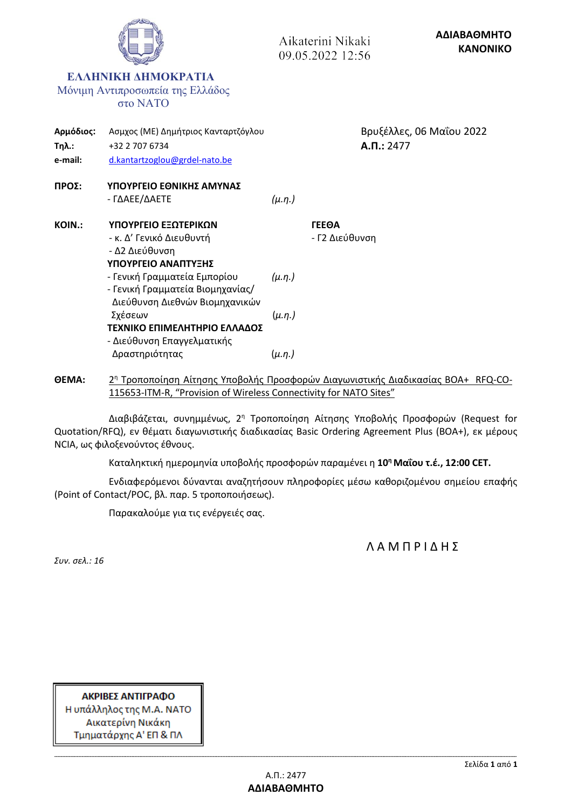|                                      |                                                                                                                                                                                                                                                                                            |                                                 | Aikaterini Nikaki<br>09.05.2022 12:56 |                | ΑΔΙΑΒΑΘΜΗΤΟ<br><b>KANONIKO</b> |
|--------------------------------------|--------------------------------------------------------------------------------------------------------------------------------------------------------------------------------------------------------------------------------------------------------------------------------------------|-------------------------------------------------|---------------------------------------|----------------|--------------------------------|
|                                      | ЕЛЛН КНА АНМОКРАТІА<br>Μόνιμη Αντιπροσωπεία της Ελλάδος<br><b>στο ΝΑΤΟ</b>                                                                                                                                                                                                                 |                                                 |                                       |                |                                |
| Αρμόδιος:<br><b>Τηλ.:</b><br>e-mail: | Ασμχος (ΜΕ) Δημήτριος Κανταρτζόγλου<br>+32 2 707 6734<br>d.kantartzoglou@grdel-nato.be                                                                                                                                                                                                     |                                                 |                                       | $A.\Pi.: 2477$ | Βρυξέλλες, 06 Μαΐου 2022       |
| ΠΡΟΣ:                                | ΥΠΟΥΡΓΕΙΟ ΕΘΝΙΚΗΣ ΑΜΥΝΑΣ<br>- ΓΔΑΕΕ/ΔΑΕΤΕ                                                                                                                                                                                                                                                  | $(\mu.\eta.)$                                   |                                       |                |                                |
| <b>KOIN.:</b>                        | ΥΠΟΥΡΓΕΙΟ ΕΞΩΤΕΡΙΚΩΝ<br>- κ. Δ' Γενικό Διευθυντή<br>- Δ2 Διεύθυνση<br>ΥΠΟΥΡΓΕΙΟ ΑΝΑΠΤΥΞΗΣ<br>- Γενική Γραμματεία Εμπορίου<br>- Γενική Γραμματεία Βιομηχανίας/<br>Διεύθυνση Διεθνών Βιομηχανικών<br>Σχέσεων<br>ΤΕΧΝΙΚΟ ΕΠΙΜΕΛΗΤΗΡΙΟ ΕΛΛΑΔΟΣ<br>- Διεύθυνση Επαγγελματικής<br>Δραστηριότητας | $(\mu.\eta.)$<br>$(\mu.\eta.)$<br>$(\mu.\eta.)$ | ΓΕΕΘΑ<br>- Γ2 Διεύθυνση               |                |                                |

**ΘΕΜΑ:** 2 <sup>η</sup> Τροποποίηση Αίτησης Υποβολής Προσφορών Διαγωνιστικής Διαδικασίας BOA+ RFQ-CO-115653-ITM-R, "Provision of Wireless Connectivity for NATO Sites"

Διαβιβάζεται, συνημμένως, 2<sup>η</sup> Τροποποίηση Αίτησης Υποβολής Προσφορών (Request for Quotation/RFQ), εν θέματι διαγωνιστικής διαδικασίας Basic Ordering Agreement Plus (BOA+), εκ μέρους NCIA, ως φιλοξενούντος έθνους.

Καταληκτική ημερομηνία υποβολής προσφορών παραμένει η **10<sup>η</sup>Μαΐου τ.έ., 12:00 CET.**

Ενδιαφερόμενοι δύνανται αναζητήσουν πληροφορίες μέσω καθοριζομένου σημείου επαφής (Point of Contact/POC, βλ. παρ. 5 τροποποιήσεως).

Παρακαλούμε για τις ενέργειές σας.

Λ Α Μ Π Ρ Ι Δ Η Σ

*Συν. σελ.: 16*

ΑΚΡΙΒΕΣ ΑΝΤΙΓΡΑΦΟ Η υπάλληλος της Μ.Α. ΝΑΤΟ Αικατερίνη Νικάκη Τμηματάρχης Α' ΕΠ & ΠΛ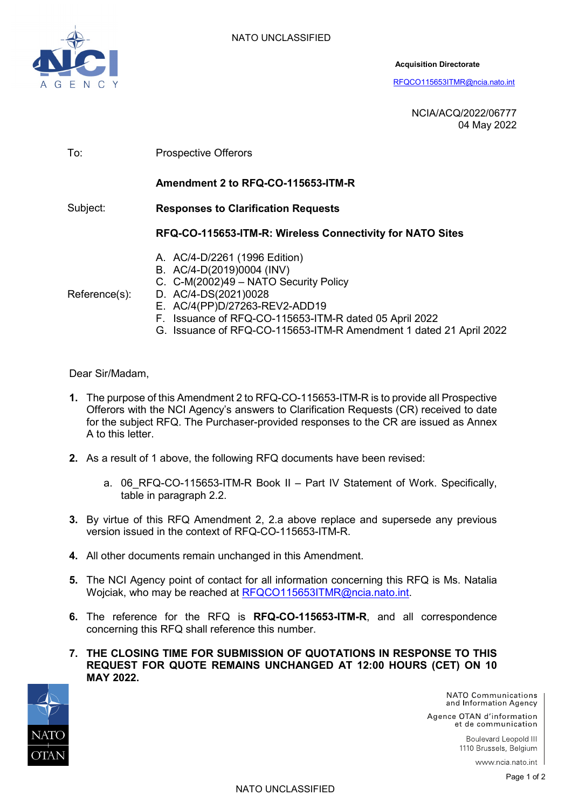

**Acquisition Directorate**

[RFQCO115653ITMR@ncia.nato.int](mailto:RFQCO115653ITMR@ncia.nato.int)

NCIA/ACQ/2022/06777 04 May 2022

| To:           | <b>Prospective Offerors</b>                                                                                                                                                                                                                                                                  |  |  |  |
|---------------|----------------------------------------------------------------------------------------------------------------------------------------------------------------------------------------------------------------------------------------------------------------------------------------------|--|--|--|
|               | Amendment 2 to RFQ-CO-115653-ITM-R                                                                                                                                                                                                                                                           |  |  |  |
| Subject:      | <b>Responses to Clarification Requests</b>                                                                                                                                                                                                                                                   |  |  |  |
|               | RFQ-CO-115653-ITM-R: Wireless Connectivity for NATO Sites                                                                                                                                                                                                                                    |  |  |  |
| Reference(s): | A. AC/4-D/2261 (1996 Edition)<br>B. AC/4-D(2019)0004 (INV)<br>C. C-M(2002)49 - NATO Security Policy<br>D. AC/4-DS(2021)0028<br>E. AC/4(PP)D/27263-REV2-ADD19<br>F. Issuance of RFQ-CO-115653-ITM-R dated 05 April 2022<br>G. Issuance of RFQ-CO-115653-ITM-R Amendment 1 dated 21 April 2022 |  |  |  |

Dear Sir/Madam,

- **1.** The purpose of this Amendment 2 to RFQ-CO-115653-ITM-R is to provide all Prospective Offerors with the NCI Agency's answers to Clarification Requests (CR) received to date for the subject RFQ. The Purchaser-provided responses to the CR are issued as Annex A to this letter.
- **2.** As a result of 1 above, the following RFQ documents have been revised:
	- a. 06 RFQ-CO-115653-ITM-R Book II Part IV Statement of Work. Specifically, table in paragraph 2.2.
- **3.** By virtue of this RFQ Amendment 2, 2.a above replace and supersede any previous version issued in the context of RFQ-CO-115653-ITM-R.
- **4.** All other documents remain unchanged in this Amendment.
- **5.** The NCI Agency point of contact for all information concerning this RFQ is Ms. Natalia Wojciak, who may be reached at [RFQCO115653ITMR@ncia.nato.int.](mailto:RFQCO115653ITMR@ncia.nato.int)
- **6.** The reference for the RFQ is **RFQ-CO-115653-ITM-R**, and all correspondence concerning this RFQ shall reference this number.
- **7. THE CLOSING TIME FOR SUBMISSION OF QUOTATIONS IN RESPONSE TO THIS REQUEST FOR QUOTE REMAINS UNCHANGED AT 12:00 HOURS (CET) ON 10 MAY 2022.**



NATO Communications and Information Agency

Agence OTAN d'information et de communication

> Boulevard Leopold III 1110 Brussels, Belgium

> > www.ncia.nato.int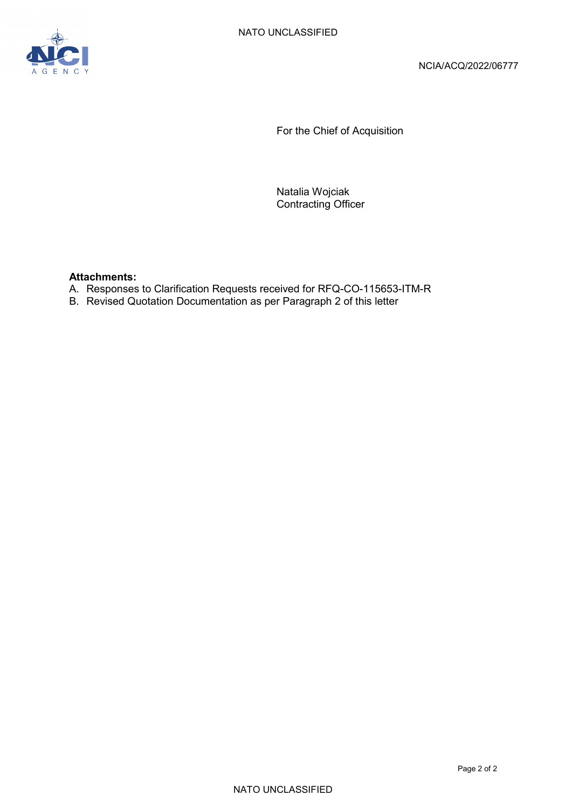

For the Chief of Acquisition

Natalia Wojciak Contracting Officer

#### **Attachments:**

- A. Responses to Clarification Requests received for RFQ-CO-115653-ITM-R
- B. Revised Quotation Documentation as per Paragraph 2 of this letter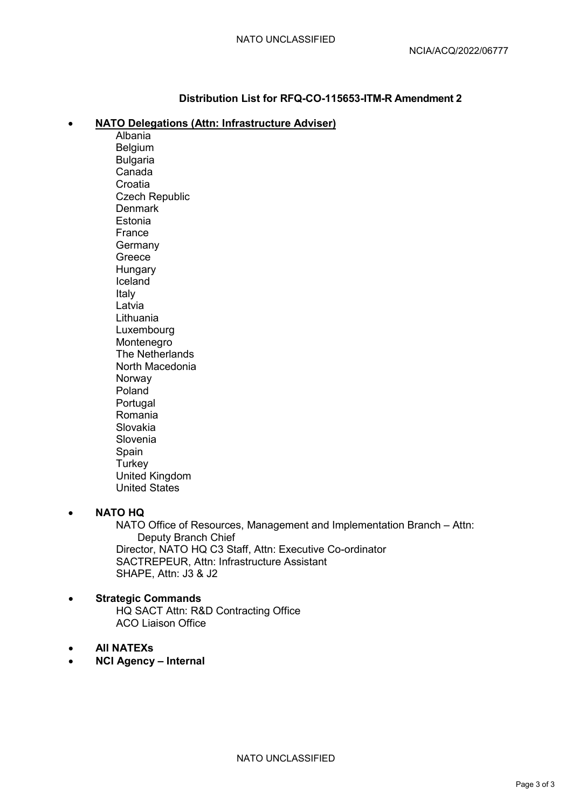### **Distribution List for RFQ-CO-115653-ITM-R Amendment 2**

#### • **NATO Delegations (Attn: Infrastructure Adviser)**

Albania Belgium Bulgaria Canada **Croatia** Czech Republic **Denmark** Estonia France Germany Greece **Hungary** Iceland Italy Latvia Lithuania Luxembourg Montenegro The Netherlands North Macedonia Norway Poland Portugal Romania Slovakia Slovenia Spain **Turkey** United Kingdom United States

#### • **NATO HQ**

NATO Office of Resources, Management and Implementation Branch – Attn: Deputy Branch Chief Director, NATO HQ C3 Staff, Attn: Executive Co-ordinator SACTREPEUR, Attn: Infrastructure Assistant SHAPE, Attn: J3 & J2

#### • **Strategic Commands** HQ SACT Attn: R&D Contracting Office ACO Liaison Office

- **All NATEXs**
- **NCI Agency Internal**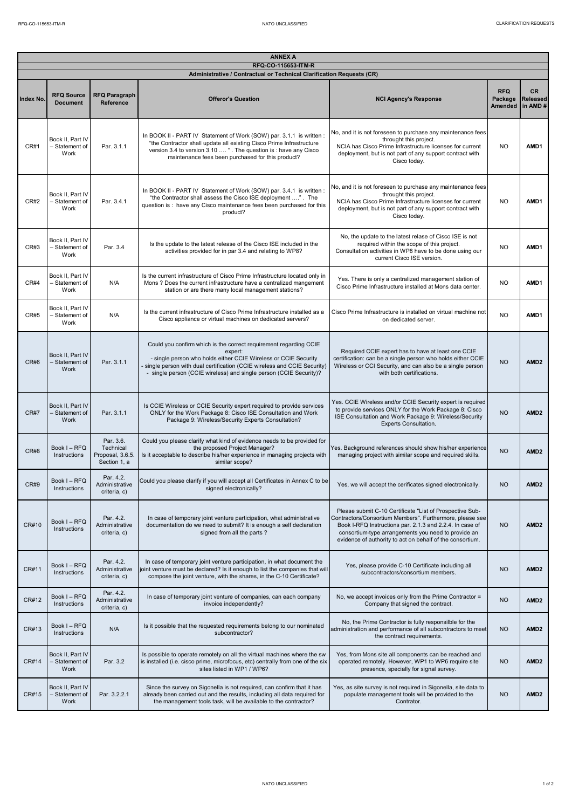| <b>ANNEX A</b><br>RFQ-CO-115653-ITM-R |                                            |                                                            |                                                                                                                                                                                                                                                                                                  |                                                                                                                                                                                                                                                                                                      |                                         |                                   |
|---------------------------------------|--------------------------------------------|------------------------------------------------------------|--------------------------------------------------------------------------------------------------------------------------------------------------------------------------------------------------------------------------------------------------------------------------------------------------|------------------------------------------------------------------------------------------------------------------------------------------------------------------------------------------------------------------------------------------------------------------------------------------------------|-----------------------------------------|-----------------------------------|
|                                       |                                            |                                                            | Administrative / Contractual or Technical Clarification Requests (CR)                                                                                                                                                                                                                            |                                                                                                                                                                                                                                                                                                      |                                         |                                   |
| Index No.                             | <b>RFQ Source</b><br><b>Document</b>       | <b>RFQ Paragraph</b><br><b>Reference</b>                   | <b>Offeror's Question</b>                                                                                                                                                                                                                                                                        | <b>NCI Agency's Response</b>                                                                                                                                                                                                                                                                         | <b>RFQ</b><br>Package<br><b>Amended</b> | CR.<br><b>Released</b><br>in AMD# |
| CR#1                                  | Book II, Part IV<br>- Statement of<br>Work | Par. 3.1.1                                                 | In BOOK II - PART IV Statement of Work (SOW) par. 3.1.1 is written :<br>"the Contractor shall update all existing Cisco Prime Infrastructure<br>version 3.4 to version 3.10  " . The question is : have any Cisco<br>maintenance fees been purchased for this product?                           | No, and it is not foreseen to purchase any maintenance fees<br>throught this project.<br>NCIA has Cisco Prime Infrastructure licenses for current<br>deployment, but is not part of any support contract with<br>Cisco today.                                                                        | <b>NO</b>                               | AMD1                              |
| CR#2                                  | Book II, Part IV<br>- Statement of<br>Work | Par. 3.4.1                                                 | In BOOK II - PART IV Statement of Work (SOW) par. 3.4.1 is written:<br>"the Contractor shall assess the Cisco ISE deployment ". The<br>question is : have any Cisco maintenance fees been purchased for this<br>product?                                                                         | No, and it is not foreseen to purchase any maintenance fees<br>throught this project.<br>NCIA has Cisco Prime Infrastructure licenses for current<br>deployment, but is not part of any support contract with<br>Cisco today.                                                                        | <b>NO</b>                               | AMD1                              |
| CR#3                                  | Book II. Part IV<br>- Statement of<br>Work | Par. 3.4                                                   | Is the update to the latest release of the Cisco ISE included in the<br>activities provided for in par 3.4 and relating to WP8?                                                                                                                                                                  | No, the update to the latest relase of Cisco ISE is not<br>required within the scope of this project.<br>Consultation activities in WP8 have to be done using our<br>current Cisco ISE version.                                                                                                      | <b>NO</b>                               | AMD1                              |
| CR#4                                  | Book II, Part IV<br>- Statement of<br>Work | N/A                                                        | Is the current infrastructure of Cisco Prime Infrastructure located only in<br>Mons ? Does the current infrastructure have a centralized mangement<br>station or are there many local management stations?                                                                                       | Yes. There is only a centralized management station of<br>Cisco Prime Infrastructure installed at Mons data center.                                                                                                                                                                                  | <b>NO</b>                               | AMD1                              |
| CR#5                                  | Book II, Part IV<br>- Statement of<br>Work | N/A                                                        | Is the current infrastructure of Cisco Prime Infrastructure installed as a<br>Cisco appliance or virtual machines on dedicated servers?                                                                                                                                                          | Cisco Prime Infrastructure is installed on virtual machine not<br>on dedicated server.                                                                                                                                                                                                               | <b>NO</b>                               | AMD1                              |
| CR#6                                  | Book II, Part IV<br>- Statement of<br>Work | Par. 3.1.1                                                 | Could you confirm which is the correct requirement regarding CCIE<br>expert:<br>- single person who holds either CCIE Wireless or CCIE Security<br>single person with dual certification (CCIE wireless and CCIE Security)<br>- single person (CCIE wireless) and single person (CCIE Security)? | Required CCIE expert has to have at least one CCIE<br>certification: can be a single person who holds either CCIE<br>Wireless or CCI Security, and can also be a single person<br>with both certifications.                                                                                          | <b>NO</b>                               | AMD <sub>2</sub>                  |
| <b>CR#7</b>                           | Book II, Part IV<br>- Statement of<br>Work | Par. 3.1.1                                                 | Is CCIE Wireless or CCIE Security expert required to provide services<br>ONLY for the Work Package 8: Cisco ISE Consultation and Work<br>Package 9: Wireless/Security Experts Consultation?                                                                                                      | Yes. CCIE Wireless and/or CCIE Security expert is required<br>to provide services ONLY for the Work Package 8: Cisco<br>ISE Consultation and Work Package 9: Wireless/Security<br><b>Experts Consultation.</b>                                                                                       | <b>NO</b>                               | AMD <sub>2</sub>                  |
| CR#8                                  | Book I - RFQ<br>Instructions               | Par. 3.6.<br>Technical<br>Proposal, 3.6.5.<br>Section 1, a | Could you please clarify what kind of evidence needs to be provided for<br>the proposed Project Manager?<br>Is it acceptable to describe his/her experience in managing projects with<br>similar scope?                                                                                          | Yes. Background references should show his/her experience<br>managing project with similar scope and required skills.                                                                                                                                                                                | <b>NO</b>                               | AMD <sub>2</sub>                  |
| CR#9                                  | Book I-RFQ<br>Instructions                 | Par. 4.2.<br>Administrative<br>criteria, c)                | Could you please clarify if you will accept all Certificates in Annex C to be<br>signed electronically?                                                                                                                                                                                          | Yes, we will accept the cerificates signed electronically.                                                                                                                                                                                                                                           | <b>NO</b>                               | AMD <sub>2</sub>                  |
| CR#10                                 | Book I - RFQ<br>Instructions               | Par. 4.2.<br>Administrative<br>criteria, c)                | In case of temporary joint venture participation, what administrative<br>documentation do we need to submit? It is enough a self declaration<br>signed from all the parts?                                                                                                                       | Please submit C-10 Certificate "List of Prospective Sub-<br>Contractors/Consortium Members". Furthermore, please see<br>Book I-RFQ Instructions par. 2.1.3 and 2.2.4. In case of<br>consortium-type arrangements you need to provide an<br>evidence of authority to act on behalf of the consortium. | <b>NO</b>                               | AMD <sub>2</sub>                  |
| CR#11                                 | Book I - RFQ<br>Instructions               | Par. 4.2.<br>Administrative<br>criteria, c)                | In case of temporary joint venture participation, in what document the<br>oint venture must be declared? Is it enough to list the companies that will<br>compose the joint venture, with the shares, in the C-10 Certificate?                                                                    | Yes, please provide C-10 Certificate including all<br>subcontractors/consortium members.                                                                                                                                                                                                             | <b>NO</b>                               | AMD <sub>2</sub>                  |
| CR#12                                 | Book I - RFQ<br>Instructions               | Par. 4.2.<br>Administrative<br>criteria, c)                | In case of temporary joint venture of companies, can each company<br>invoice independently?                                                                                                                                                                                                      | No, we accept invoices only from the Prime Contractor =<br>Company that signed the contract.                                                                                                                                                                                                         | <b>NO</b>                               | AMD <sub>2</sub>                  |
| CR#13                                 | Book I - RFQ<br>Instructions               | N/A                                                        | Is it possible that the requested requirements belong to our nominated<br>subcontractor?                                                                                                                                                                                                         | No, the Prime Contractor is fully responsilble for the<br>administration and performance of all subcontractors to meet<br>the contract requirements.                                                                                                                                                 | <b>NO</b>                               | AMD <sub>2</sub>                  |
| CR#14                                 | Book II, Part IV<br>- Statement of<br>Work | Par. 3.2                                                   | Is possible to operate remotely on all the virtual machines where the sw<br>is installed (i.e. cisco prime, microfocus, etc) centrally from one of the six<br>sites listed in WP1 / WP6?                                                                                                         | Yes, from Mons site all components can be reached and<br>operated remotely. However, WP1 to WP6 require site<br>presence, specially for signal survey.                                                                                                                                               | <b>NO</b>                               | AMD <sub>2</sub>                  |
| CR#15                                 | Book II, Part IV<br>- Statement of<br>Work | Par. 3.2.2.1                                               | Since the survey on Sigonella is not required, can confirm that it has<br>already been carried out and the results, including all data required for<br>the management tools task, will be available to the contractor?                                                                           | Yes, as site survey is not required in Sigonella, site data to<br>populate management tools will be provided to the<br>Contrator.                                                                                                                                                                    | <b>NO</b>                               | AMD <sub>2</sub>                  |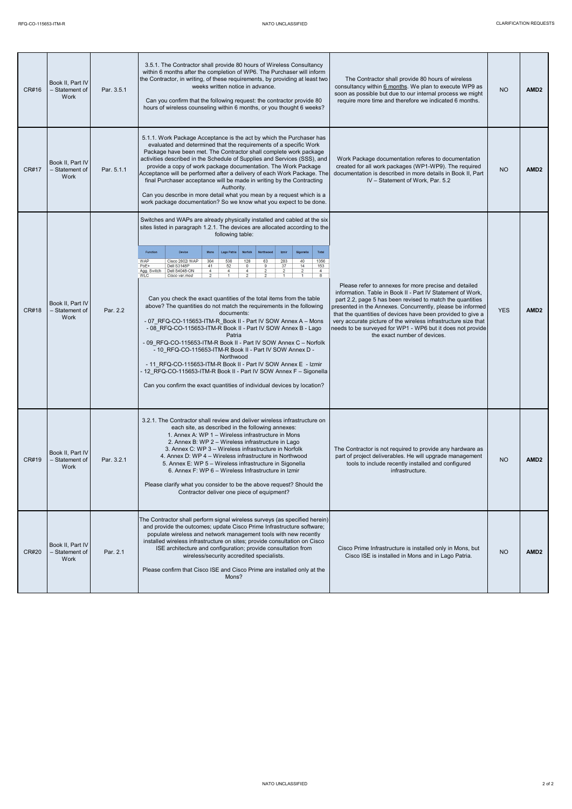| CR#16 | Book II, Part IV<br>- Statement of<br>Work | Par. 3.5.1 | 3.5.1. The Contractor shall provide 80 hours of Wireless Consultancy<br>within 6 months after the completion of WP6. The Purchaser will inform<br>the Contractor, in writing, of these requirements, by providing at least two<br>weeks written notice in advance.<br>Can you confirm that the following request: the contractor provide 80<br>hours of wireless counseling within 6 months, or you thought 6 weeks?                                                                                                                                                                                                                                                                                                                                                                                                                                                                                                                                                                                                                                                                                                                                                                                                                                                                                                  | The Contractor shall provide 80 hours of wireless<br>consultancy within 6 months. We plan to execute WP9 as<br>soon as possible but due to our internal process we might<br>require more time and therefore we indicated 6 months.                                                                                                                                                                                                                                            | <b>NO</b>  | AMD <sub>2</sub> |
|-------|--------------------------------------------|------------|-----------------------------------------------------------------------------------------------------------------------------------------------------------------------------------------------------------------------------------------------------------------------------------------------------------------------------------------------------------------------------------------------------------------------------------------------------------------------------------------------------------------------------------------------------------------------------------------------------------------------------------------------------------------------------------------------------------------------------------------------------------------------------------------------------------------------------------------------------------------------------------------------------------------------------------------------------------------------------------------------------------------------------------------------------------------------------------------------------------------------------------------------------------------------------------------------------------------------------------------------------------------------------------------------------------------------|-------------------------------------------------------------------------------------------------------------------------------------------------------------------------------------------------------------------------------------------------------------------------------------------------------------------------------------------------------------------------------------------------------------------------------------------------------------------------------|------------|------------------|
| CR#17 | Book II, Part IV<br>- Statement of<br>Work | Par. 5.1.1 | 5.1.1. Work Package Acceptance is the act by which the Purchaser has<br>evaluated and determined that the requirements of a specific Work<br>Package have been met. The Contractor shall complete work package<br>activities described in the Schedule of Supplies and Services (SSS), and<br>provide a copy of work package documentation. The Work Package<br>Acceptance will be performed after a delivery of each Work Package. The<br>final Purchaser acceptance will be made in writing by the Contracting<br>Authority.<br>Can you describe in more detail what you mean by a request which is a<br>work package documentation? So we know what you expect to be done.                                                                                                                                                                                                                                                                                                                                                                                                                                                                                                                                                                                                                                         | Work Package documentation referes to documentation<br>created for all work packages (WP1-WP9). The required<br>documentation is described in more details in Book II, Part<br>IV - Statement of Work, Par, 5.2                                                                                                                                                                                                                                                               | <b>NO</b>  | AMD <sub>2</sub> |
| CR#18 | Book II, Part IV<br>- Statement of<br>Work | Par. 2.2   | Switches and WAPs are already physically installed and cabled at the six<br>sites listed in paragraph 1.2.1. The devices are allocated according to the<br>following table:<br>Function<br>Device<br>Total<br>Mons<br>Lago Patria<br>Norfolk<br>Izmi<br>Sigonella<br>WAP<br>Cisco 2802i WAP<br>304<br>538<br>128<br>63<br>283<br>40<br>1356<br>PoE+<br>Dell S3148P<br>41<br>52<br>$\overline{0}$<br>37<br>14<br>153<br>Agg. Switch<br>Dell S4048-ON<br>$\overline{4}$<br>$\overline{4}$<br>$\overline{4}$<br>$\overline{2}$<br>$\overline{4}$<br>$\overline{2}$<br><b>WLC</b><br>$\overline{2}$<br>$\overline{\mathbf{8}}$<br>Cisco var.mod<br>Can you check the exact quantities of the total items from the table<br>above? The quantities do not match the requirements in the following<br>documents:<br>- 07 RFQ-CO-115653-ITM-R Book II - Part IV SOW Annex A - Mons<br>- 08 RFQ-CO-115653-ITM-R Book II - Part IV SOW Annex B - Lago<br>Patria<br>- 09 RFQ-CO-115653-ITM-R Book II - Part IV SOW Annex C - Norfolk<br>- 10 RFQ-CO-115653-ITM-R Book II - Part IV SOW Annex D -<br>Northwood<br>- 11 RFQ-CO-115653-ITM-R Book II - Part IV SOW Annex E - Izmir<br>- 12 RFQ-CO-115653-ITM-R Book II - Part IV SOW Annex F - Sigonella<br>Can you confirm the exact quantities of individual devices by location? | Please refer to annexes for more precise and detailed<br>information. Table in Book II - Part IV Statement of Work,<br>part 2.2, page 5 has been revised to match the quantities<br>presented in the Annexes. Concurrently, please be informed<br>that the quantities of devices have been provided to give a<br>very accurate picture of the wireless infrastructure size that<br>needs to be surveyed for WP1 - WP6 but it does not provide<br>the exact number of devices. | <b>YES</b> | AMD <sub>2</sub> |
| CR#19 | Book II, Part IV<br>- Statement of<br>Work | Par. 3.2.1 | 3.2.1. The Contractor shall review and deliver wireless infrastructure on<br>each site, as described in the following annexes:<br>1. Annex A: WP 1 - Wireless infrastructure in Mons<br>2. Annex B: WP 2 - Wireless infrastructure in Lago<br>3. Annex C: WP 3 - Wireless infrastructure in Norfolk<br>4. Annex D: WP 4 - Wireless infrastructure in Northwood<br>5. Annex E: WP 5 - Wireless infrastructure in Sigonella<br>6. Annex F: WP 6 - Wireless Infrastructure in Izmir<br>Please clarify what you consider to be the above request? Should the<br>Contractor deliver one piece of equipment?                                                                                                                                                                                                                                                                                                                                                                                                                                                                                                                                                                                                                                                                                                                | The Contractor is not required to provide any hardware as<br>part of project deliverables. He will upgrade management<br>tools to include recently installed and configured<br>infrastructure.                                                                                                                                                                                                                                                                                | <b>NO</b>  | AMD <sub>2</sub> |
| CR#20 | Book II, Part IV<br>- Statement of<br>Work | Par. 2.1   | The Contractor shall perform signal wireless surveys (as specified herein)<br>and provide the outcomes; update Cisco Prime Infrastructure software;<br>populate wireless and network management tools with new recently<br>installed wireless infrastructure on sites; provide consultation on Cisco<br>ISE architecture and configuration; provide consultation from<br>wireless/security accredited specialists.<br>Please confirm that Cisco ISE and Cisco Prime are installed only at the<br>Mons?                                                                                                                                                                                                                                                                                                                                                                                                                                                                                                                                                                                                                                                                                                                                                                                                                | Cisco Prime Infrastructure is installed only in Mons, but<br>Cisco ISE is installed in Mons and in Lago Patria.                                                                                                                                                                                                                                                                                                                                                               | <b>NO</b>  | AMD <sub>2</sub> |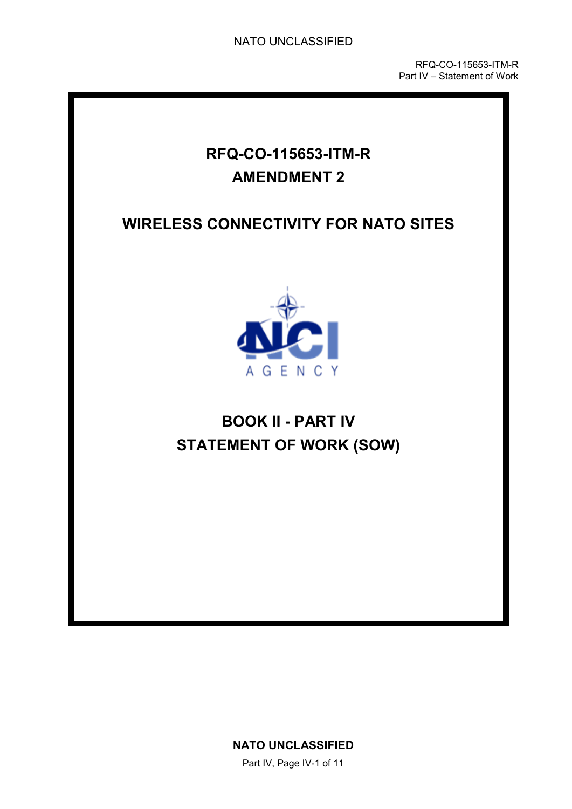RFQ-CO-115653-ITM-R Part IV – Statement of Work

## **RFQ-CO-115653-ITM-R AMENDMENT 2**

## **WIRELESS CONNECTIVITY FOR NATO SITES**



# **BOOK II - PART IV STATEMENT OF WORK (SOW)**

**NATO UNCLASSIFIED**

Part IV, Page IV-1 of 11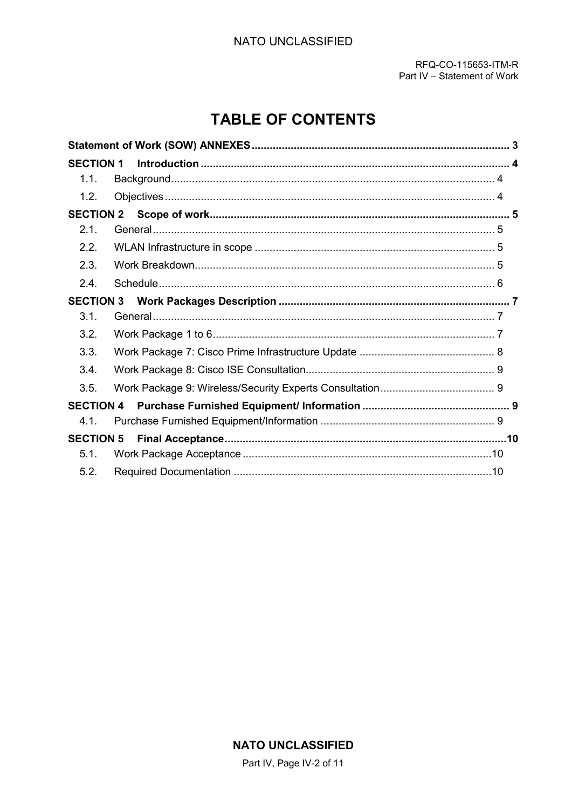## **TABLE OF CONTENTS**

<span id="page-7-0"></span>

| <b>SECTION 1</b> |  |
|------------------|--|
| 1.1.             |  |
| 1.2.             |  |
|                  |  |
| 2.1.             |  |
| 2.2.             |  |
| 2.3.             |  |
| 2.4.             |  |
| <b>SECTION 3</b> |  |
| 3.1.             |  |
| 3.2.             |  |
| 3.3.             |  |
| 3.4.             |  |
| 3.5.             |  |
| <b>SECTION 4</b> |  |
| 4.1.             |  |
|                  |  |
| 5.1.             |  |
| 5.2.             |  |

### **NATO UNCLASSIFIED**

Part IV, Page IV-2 of 11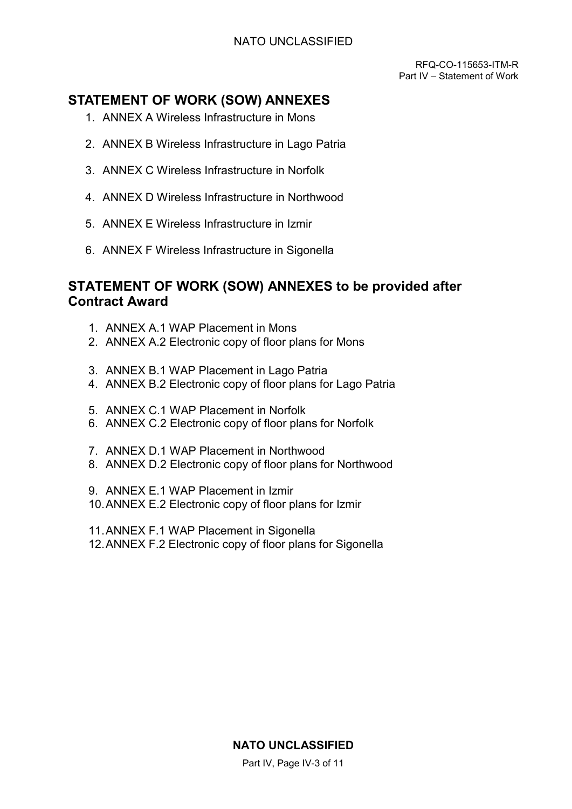RFQ-CO-115653-ITM-R Part IV – Statement of Work

## <span id="page-8-1"></span><span id="page-8-0"></span>**STATEMENT OF WORK (SOW) ANNEXES**

- 1. ANNEX A Wireless Infrastructure in Mons
- 2. ANNEX B Wireless Infrastructure in Lago Patria
- 3. ANNEX C Wireless Infrastructure in Norfolk
- 4. ANNEX D Wireless Infrastructure in Northwood
- 5. ANNEX E Wireless Infrastructure in Izmir
- 6. ANNEX F Wireless Infrastructure in Sigonella

### <span id="page-8-2"></span>**STATEMENT OF WORK (SOW) ANNEXES to be provided after Contract Award**

- 1. ANNEX A.1 WAP Placement in Mons
- 2. ANNEX A.2 Electronic copy of floor plans for Mons
- 3. ANNEX B.1 WAP Placement in Lago Patria
- 4. ANNEX B.2 Electronic copy of floor plans for Lago Patria
- 5. ANNEX C.1 WAP Placement in Norfolk
- 6. ANNEX C.2 Electronic copy of floor plans for Norfolk
- 7. ANNEX D.1 WAP Placement in Northwood
- 8. ANNEX D.2 Electronic copy of floor plans for Northwood
- 9. ANNEX E.1 WAP Placement in Izmir
- 10.ANNEX E.2 Electronic copy of floor plans for Izmir
- 11.ANNEX F.1 WAP Placement in Sigonella
- 12.ANNEX F.2 Electronic copy of floor plans for Sigonella

### **NATO UNCLASSIFIED**

Part IV, Page IV-3 of 11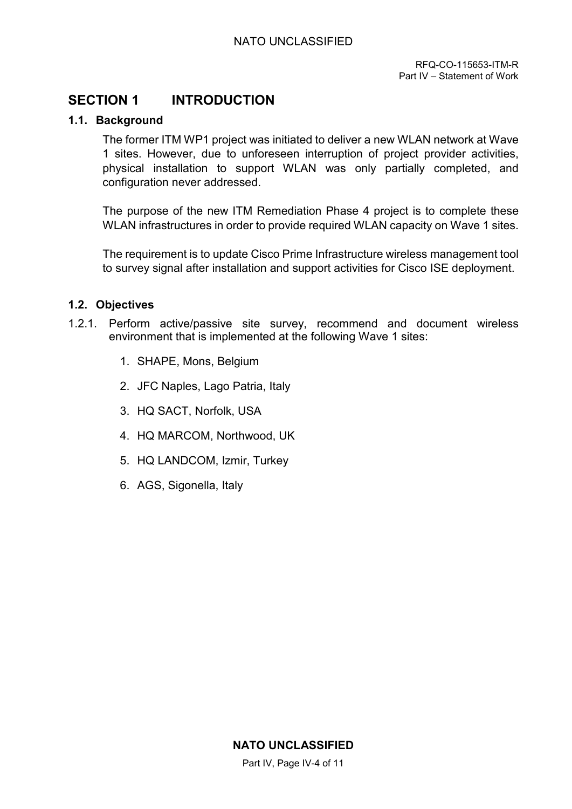## <span id="page-9-0"></span>**SECTION 1 INTRODUCTION**

### <span id="page-9-1"></span>**1.1. Background**

The former ITM WP1 project was initiated to deliver a new WLAN network at Wave 1 sites. However, due to unforeseen interruption of project provider activities, physical installation to support WLAN was only partially completed, and configuration never addressed.

<span id="page-9-2"></span>The purpose of the new ITM Remediation Phase 4 project is to complete these WLAN infrastructures in order to provide required WLAN capacity on Wave 1 sites.

The requirement is to update Cisco Prime Infrastructure wireless management tool to survey signal after installation and support activities for Cisco ISE deployment.

### **1.2. Objectives**

- <span id="page-9-3"></span>1.2.1. Perform active/passive site survey, recommend and document wireless environment that is implemented at the following Wave 1 sites:
	- 1. SHAPE, Mons, Belgium
	- 2. JFC Naples, Lago Patria, Italy
	- 3. HQ SACT, Norfolk, USA
	- 4. HQ MARCOM, Northwood, UK
	- 5. HQ LANDCOM, Izmir, Turkey
	- 6. AGS, Sigonella, Italy

Part IV, Page IV-4 of 11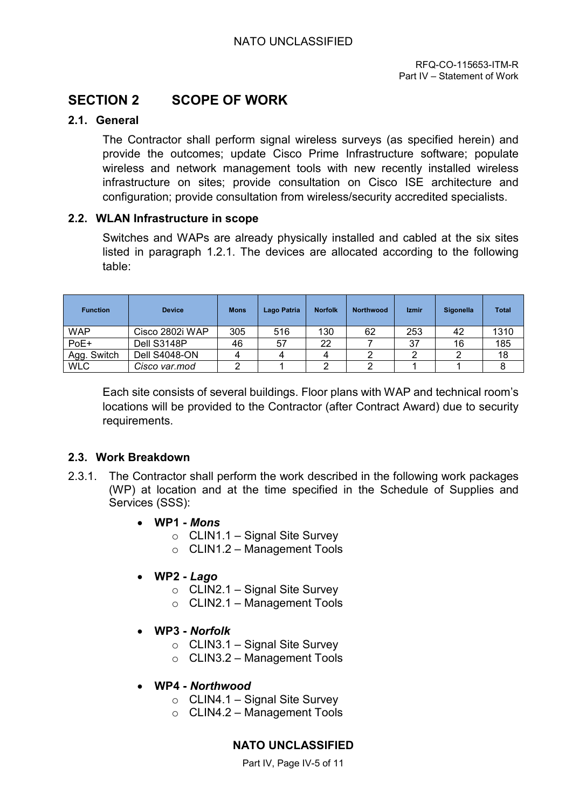## **SECTION 2 SCOPE OF WORK**

### **2.1. General**

The Contractor shall perform signal wireless surveys (as specified herein) and provide the outcomes; update Cisco Prime Infrastructure software; populate wireless and network management tools with new recently installed wireless infrastructure on sites; provide consultation on Cisco ISE architecture and configuration; provide consultation from wireless/security accredited specialists.

### **2.2. WLAN Infrastructure in scope**

Switches and WAPs are already physically installed and cabled at the six sites listed in paragraph 1.2.1. The devices are allocated according to the following table:

<span id="page-10-0"></span>

| <b>Function</b> | <b>Device</b>        | <b>Mons</b> | Lago Patria | <b>Norfolk</b> | <b>Northwood</b> | <b>Izmir</b> | Sigonella | <b>Total</b> |
|-----------------|----------------------|-------------|-------------|----------------|------------------|--------------|-----------|--------------|
| <b>WAP</b>      | Cisco 2802i WAP      | 305         | 516         | 130            | 62               | 253          | 42        | 1310         |
| PoE+            | Dell S3148P          | 46          | 57          | 22             |                  | 37           | 16        | 185          |
| Agg. Switch     | <b>Dell S4048-ON</b> |             |             |                |                  | ◠            | ⌒         | 18           |
| <b>WLC</b>      | Cisco var.mod        |             |             |                |                  |              |           |              |

Each site consists of several buildings. Floor plans with WAP and technical room's locations will be provided to the Contractor (after Contract Award) due to security requirements.

### **2.3. Work Breakdown**

- 2.3.1. The Contractor shall perform the work described in the following work packages (WP) at location and at the time specified in the Schedule of Supplies and Services (SSS):
	- **WP1** *Mons*
		- $\circ$  CLIN1.1 Signal Site Survey
		- o CLIN1.2 Management Tools
	- **WP2** *Lago*
		- $\circ$  CLIN2.1 Signal Site Survey
		- $\circ$  CLIN2.1 Management Tools
	- **WP3** *Norfolk*
		- $\circ$  CLIN3.1 Signal Site Survey
		- $\circ$  CLIN3.2 Management Tools
	- **WP4** *Northwood*
		- $\circ$  CLIN4.1 Signal Site Survey
		- $\circ$  CLIN4.2 Management Tools

### **NATO UNCLASSIFIED**

Part IV. Page IV-5 of 11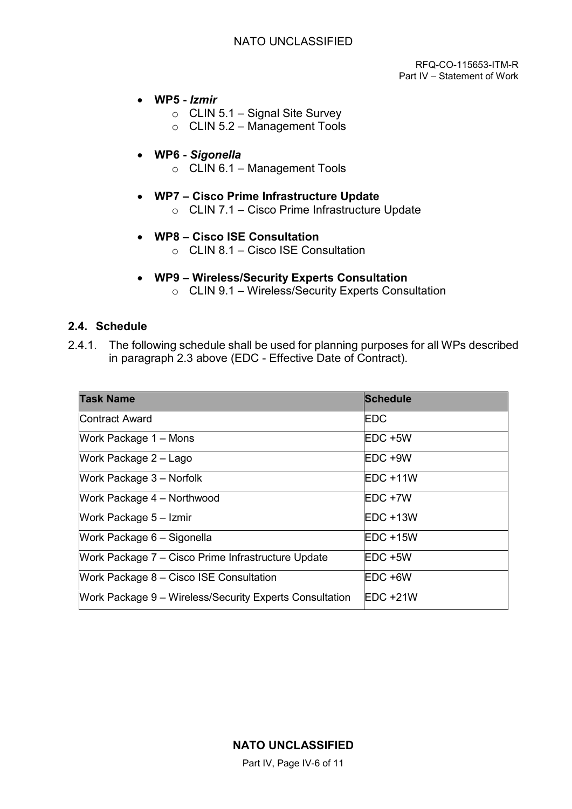RFQ-CO-115653-ITM-R Part IV – Statement of Work

- <span id="page-11-1"></span><span id="page-11-0"></span>• **WP5 -** *Izmir*
	- $\circ$  CLIN 5.1 Signal Site Survey
	- o CLIN 5.2 Management Tools

### • **WP6 -** *Sigonella*

 $\circ$  CLIN 6.1 – Management Tools

### • **WP7 – Cisco Prime Infrastructure Update**

- o CLIN 7.1 Cisco Prime Infrastructure Update
- **WP8 Cisco ISE Consultation** 
	- $\circ$  CLIN 8.1 Cisco ISE Consultation

## • **WP9 – Wireless/Security Experts Consultation**

o CLIN 9.1 – Wireless/Security Experts Consultation

### **2.4. Schedule**

2.4.1. The following schedule shall be used for planning purposes for all WPs described in paragraph 2.3 above (EDC - Effective Date of Contract).

<span id="page-11-2"></span>

| <b>Task Name</b>                                        | <b>Schedule</b>  |
|---------------------------------------------------------|------------------|
| <b>Contract Award</b>                                   | <b>EDC</b>       |
| Work Package 1 – Mons                                   | $EDC + 5W$       |
| Work Package 2 - Lago                                   | IEDC +9W         |
| Work Package 3 - Norfolk                                | IEDC +11W        |
| Work Package 4 - Northwood                              | EDC +7W          |
| Work Package 5 - Izmir                                  | IEDC +13W        |
| Work Package 6 - Sigonella                              | IEDC +15W        |
| Work Package 7 – Cisco Prime Infrastructure Update      | IEDC +5W         |
| Work Package 8 – Cisco ISE Consultation                 | <b>IEDC +6W</b>  |
| Work Package 9 – Wireless/Security Experts Consultation | <b>IEDC +21W</b> |

Part IV, Page IV-6 of 11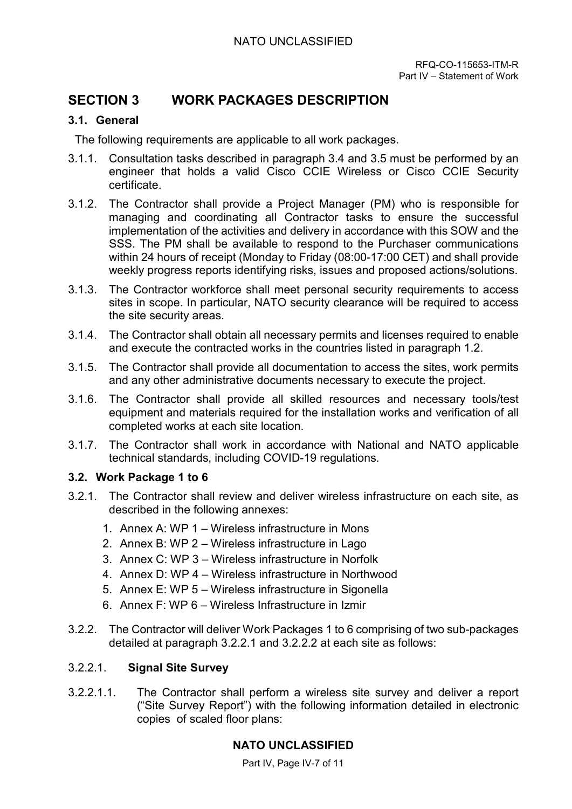### **SECTION 3 WORK PACKAGES DESCRIPTION**

### **3.1. General**

The following requirements are applicable to all work packages.

- 3.1.1. Consultation tasks described in paragraph 3.4 and 3.5 must be performed by an engineer that holds a valid Cisco CCIE Wireless or Cisco CCIE Security certificate.
- 3.1.2. The Contractor shall provide a Project Manager (PM) who is responsible for managing and coordinating all Contractor tasks to ensure the successful implementation of the activities and delivery in accordance with this SOW and the SSS. The PM shall be available to respond to the Purchaser communications within 24 hours of receipt (Monday to Friday (08:00-17:00 CET) and shall provide weekly progress reports identifying risks, issues and proposed actions/solutions.
- 3.1.3. The Contractor workforce shall meet personal security requirements to access sites in scope. In particular, NATO security clearance will be required to access the site security areas.
- 3.1.4. The Contractor shall obtain all necessary permits and licenses required to enable and execute the contracted works in the countries listed in paragraph 1.2.
- 3.1.5. The Contractor shall provide all documentation to access the sites, work permits and any other administrative documents necessary to execute the project.
- 3.1.6. The Contractor shall provide all skilled resources and necessary tools/test equipment and materials required for the installation works and verification of all completed works at each site location.
- 3.1.7. The Contractor shall work in accordance with National and NATO applicable technical standards, including COVID-19 regulations.

### **3.2. Work Package 1 to 6**

- 3.2.1. The Contractor shall review and deliver wireless infrastructure on each site, as described in the following annexes:
	- 1. Annex A: WP 1 Wireless infrastructure in Mons
	- 2. Annex B: WP 2 Wireless infrastructure in Lago
	- 3. Annex C: WP 3 Wireless infrastructure in Norfolk
	- 4. Annex D: WP 4 Wireless infrastructure in Northwood
	- 5. Annex E: WP 5 Wireless infrastructure in Sigonella
	- 6. Annex F: WP 6 Wireless Infrastructure in Izmir
- <span id="page-12-0"></span>3.2.2. The Contractor will deliver Work Packages 1 to 6 comprising of two sub-packages detailed at paragraph 3.2.2.1 and 3.2.2.2 at each site as follows:

### 3.2.2.1. **Signal Site Survey**

3.2.2.1.1. The Contractor shall perform a wireless site survey and deliver a report ("Site Survey Report") with the following information detailed in electronic copies of scaled floor plans:

### **NATO UNCLASSIFIED**

Part IV, Page IV-7 of 11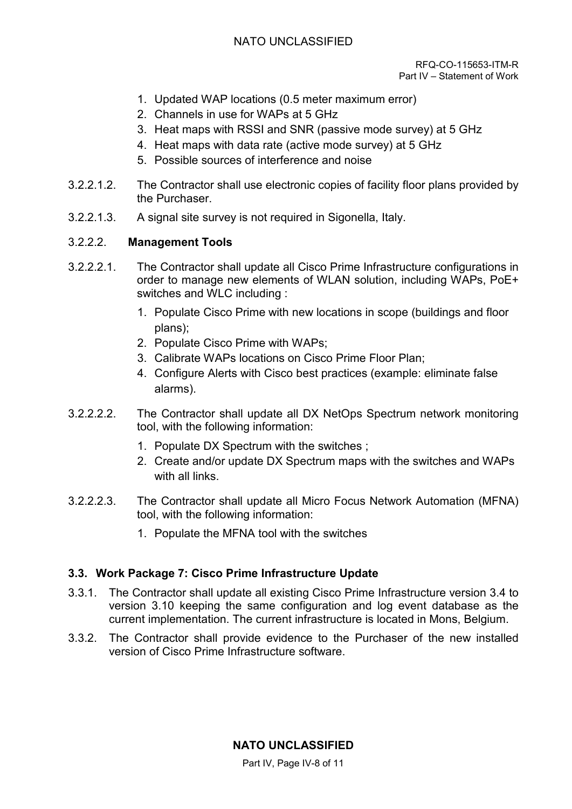### NATO UNCLASSIFIED

- <span id="page-13-0"></span>1. Updated WAP locations (0.5 meter maximum error)
- 2. Channels in use for WAPs at 5 GHz
- 3. Heat maps with RSSI and SNR (passive mode survey) at 5 GHz
- 4. Heat maps with data rate (active mode survey) at 5 GHz
- 5. Possible sources of interference and noise
- 3.2.2.1.2. The Contractor shall use electronic copies of facility floor plans provided by the Purchaser.
- 3.2.2.1.3. A signal site survey is not required in Sigonella, Italy.

### 3.2.2.2. **Management Tools**

- <span id="page-13-1"></span>3.2.2.2.1. The Contractor shall update all Cisco Prime Infrastructure configurations in order to manage new elements of WLAN solution, including WAPs, PoE+ switches and WLC including :
	- 1. Populate Cisco Prime with new locations in scope (buildings and floor plans);
	- 2. Populate Cisco Prime with WAPs;
	- 3. Calibrate WAPs locations on Cisco Prime Floor Plan;
	- 4. Configure Alerts with Cisco best practices (example: eliminate false alarms).
- 3.2.2.2.2. The Contractor shall update all DX NetOps Spectrum network monitoring tool, with the following information:
	- 1. Populate DX Spectrum with the switches ;
	- 2. Create and/or update DX Spectrum maps with the switches and WAPs with all links.
- 3.2.2.2.3. The Contractor shall update all Micro Focus Network Automation (MFNA) tool, with the following information:
	- 1. Populate the MFNA tool with the switches

### **3.3. Work Package 7: Cisco Prime Infrastructure Update**

- <span id="page-13-3"></span><span id="page-13-2"></span>3.3.1. The Contractor shall update all existing Cisco Prime Infrastructure version 3.4 to version 3.10 keeping the same configuration and log event database as the current implementation. The current infrastructure is located in Mons, Belgium.
- 3.3.2. The Contractor shall provide evidence to the Purchaser of the new installed version of Cisco Prime Infrastructure software.

### **NATO UNCLASSIFIED**

Part IV. Page IV-8 of 11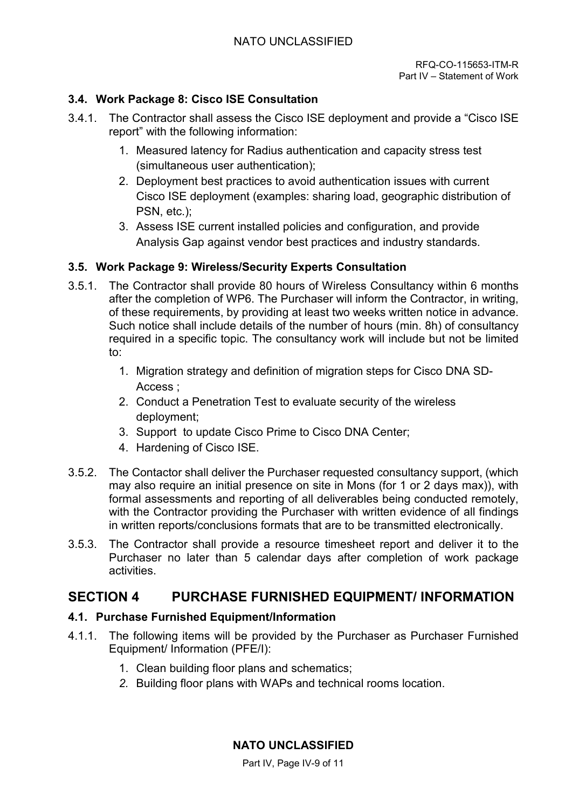### <span id="page-14-0"></span>**3.4. Work Package 8: Cisco ISE Consultation**

- <span id="page-14-1"></span>3.4.1. The Contractor shall assess the Cisco ISE deployment and provide a "Cisco ISE report" with the following information:
	- 1. Measured latency for Radius authentication and capacity stress test (simultaneous user authentication);
	- 2. Deployment best practices to avoid authentication issues with current Cisco ISE deployment (examples: sharing load, geographic distribution of PSN, etc.);
	- 3. Assess ISE current installed policies and configuration, and provide Analysis Gap against vendor best practices and industry standards.

### **3.5. Work Package 9: Wireless/Security Experts Consultation**

- <span id="page-14-2"></span>3.5.1. The Contractor shall provide 80 hours of Wireless Consultancy within 6 months after the completion of WP6. The Purchaser will inform the Contractor, in writing, of these requirements, by providing at least two weeks written notice in advance. Such notice shall include details of the number of hours (min. 8h) of consultancy required in a specific topic. The consultancy work will include but not be limited to:
	- 1. Migration strategy and definition of migration steps for Cisco DNA SD-Access ;
	- 2. Conduct a Penetration Test to evaluate security of the wireless deployment;
	- 3. Support to update Cisco Prime to Cisco DNA Center;
	- 4. Hardening of Cisco ISE.
- 3.5.2. The Contactor shall deliver the Purchaser requested consultancy support, (which may also require an initial presence on site in Mons (for 1 or 2 days max)), with formal assessments and reporting of all deliverables being conducted remotely, with the Contractor providing the Purchaser with written evidence of all findings in written reports/conclusions formats that are to be transmitted electronically.
- 3.5.3. The Contractor shall provide a resource timesheet report and deliver it to the Purchaser no later than 5 calendar days after completion of work package activities.

## **SECTION 4 PURCHASE FURNISHED EQUIPMENT/ INFORMATION**

### **4.1. Purchase Furnished Equipment/Information**

- 4.1.1. The following items will be provided by the Purchaser as Purchaser Furnished Equipment/ Information (PFE/I):
	- 1. Clean building floor plans and schematics;
	- *2.* Building floor plans with WAPs and technical rooms location.

**NATO UNCLASSIFIED**

Part IV. Page IV-9 of 11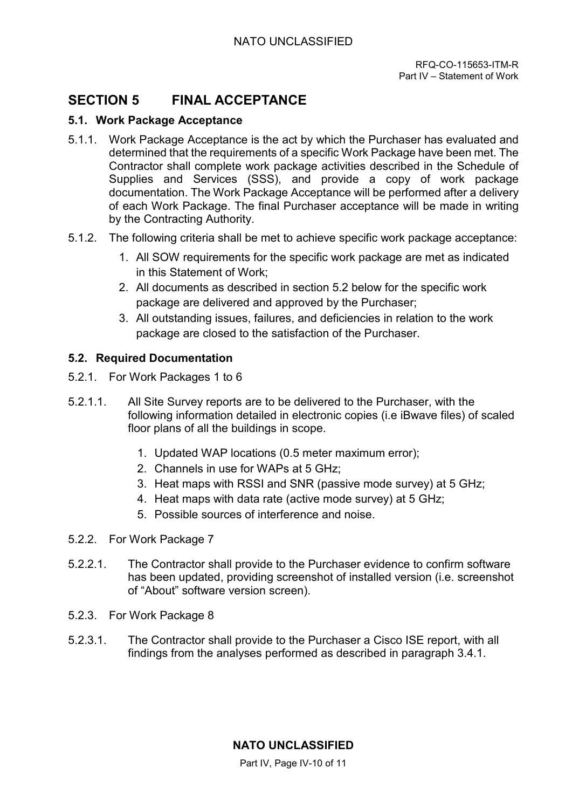## **SECTION 5 FINAL ACCEPTANCE**

### **5.1. Work Package Acceptance**

- 5.1.1. Work Package Acceptance is the act by which the Purchaser has evaluated and determined that the requirements of a specific Work Package have been met. The Contractor shall complete work package activities described in the Schedule of Supplies and Services (SSS), and provide a copy of work package documentation. The Work Package Acceptance will be performed after a delivery of each Work Package. The final Purchaser acceptance will be made in writing by the Contracting Authority.
- 5.1.2. The following criteria shall be met to achieve specific work package acceptance:
	- 1. All SOW requirements for the specific work package are met as indicated in this Statement of Work;
	- 2. All documents as described in section [5.2 below](#page-14-2) for the specific work package are delivered and approved by the Purchaser;
	- 3. All outstanding issues, failures, and deficiencies in relation to the work package are closed to the satisfaction of the Purchaser.

### **5.2. Required Documentation**

- 5.2.1. For Work Packages 1 to 6
- 5.2.1.1. All Site Survey reports are to be delivered to the Purchaser, with the following information detailed in electronic copies (i.e iBwave files) of scaled floor plans of all the buildings in scope.
	- 1. Updated WAP locations (0.5 meter maximum error);
	- 2. Channels in use for WAPs at 5 GHz;
	- 3. Heat maps with RSSI and SNR (passive mode survey) at 5 GHz;
	- 4. Heat maps with data rate (active mode survey) at 5 GHz;
	- 5. Possible sources of interference and noise.
- 5.2.2. For Work Package 7
- 5.2.2.1. The Contractor shall provide to the Purchaser evidence to confirm software has been updated, providing screenshot of installed version (i.e. screenshot of "About" software version screen).
- 5.2.3. For Work Package 8
- 5.2.3.1. The Contractor shall provide to the Purchaser a Cisco ISE report, with all findings from the analyses performed as described in paragraph 3.4.1.

Part IV, Page IV-10 of 11